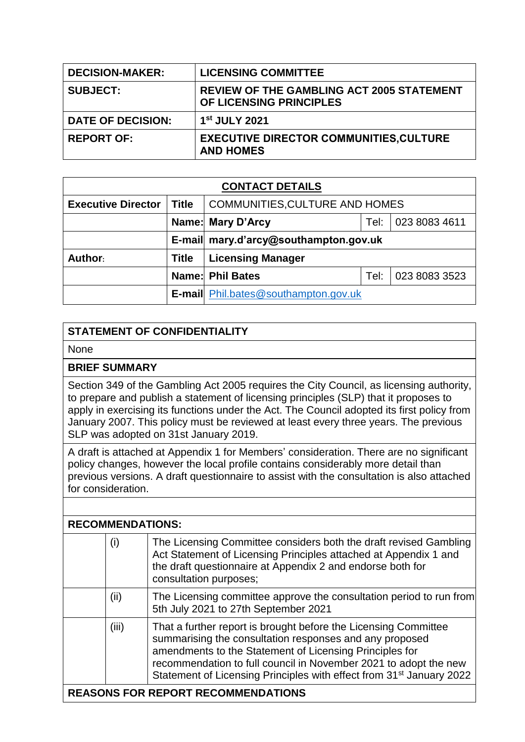| <b>DECISION-MAKER:</b>   | <b>LICENSING COMMITTEE</b>                                                  |
|--------------------------|-----------------------------------------------------------------------------|
| <b>SUBJECT:</b>          | <b>REVIEW OF THE GAMBLING ACT 2005 STATEMENT</b><br>OF LICENSING PRINCIPLES |
| <b>DATE OF DECISION:</b> | 1 <sup>st</sup> JULY 2021                                                   |
| <b>REPORT OF:</b>        | <b>EXECUTIVE DIRECTOR COMMUNITIES, CULTURE</b><br><b>AND HOMES</b>          |

| <b>CONTACT DETAILS</b>    |              |                                            |      |               |  |
|---------------------------|--------------|--------------------------------------------|------|---------------|--|
| <b>Executive Director</b> | <b>Title</b> | <b>COMMUNITIES, CULTURE AND HOMES</b>      |      |               |  |
|                           |              | 023 8083 4611<br>Name: Mary D'Arcy<br>Tel: |      |               |  |
|                           |              | E-mail mary.d'arcy@southampton.gov.uk      |      |               |  |
| Author:                   | <b>Title</b> | <b>Licensing Manager</b>                   |      |               |  |
|                           |              | <b>Name: Phil Bates</b>                    | Tel: | 023 8083 3523 |  |
|                           |              | E-mail Phil.bates@southampton.gov.uk       |      |               |  |

## **STATEMENT OF CONFIDENTIALITY**

**None** 

## **BRIEF SUMMARY**

Section 349 of the Gambling Act 2005 requires the City Council, as licensing authority, to prepare and publish a statement of licensing principles (SLP) that it proposes to apply in exercising its functions under the Act. The Council adopted its first policy from January 2007. This policy must be reviewed at least every three years. The previous SLP was adopted on 31st January 2019.

A draft is attached at Appendix 1 for Members' consideration. There are no significant policy changes, however the local profile contains considerably more detail than previous versions. A draft questionnaire to assist with the consultation is also attached for consideration.

| <b>RECOMMENDATIONS:</b>                   |       |                                                                                                                                                                                                                                                                                                                                               |  |
|-------------------------------------------|-------|-----------------------------------------------------------------------------------------------------------------------------------------------------------------------------------------------------------------------------------------------------------------------------------------------------------------------------------------------|--|
|                                           | (i)   | The Licensing Committee considers both the draft revised Gambling<br>Act Statement of Licensing Principles attached at Appendix 1 and<br>the draft questionnaire at Appendix 2 and endorse both for<br>consultation purposes;                                                                                                                 |  |
|                                           | (ii)  | The Licensing committee approve the consultation period to run from<br>5th July 2021 to 27th September 2021                                                                                                                                                                                                                                   |  |
|                                           | (iii) | That a further report is brought before the Licensing Committee<br>summarising the consultation responses and any proposed<br>amendments to the Statement of Licensing Principles for<br>recommendation to full council in November 2021 to adopt the new<br>Statement of Licensing Principles with effect from 31 <sup>st</sup> January 2022 |  |
| <b>REASONS FOR REPORT RECOMMENDATIONS</b> |       |                                                                                                                                                                                                                                                                                                                                               |  |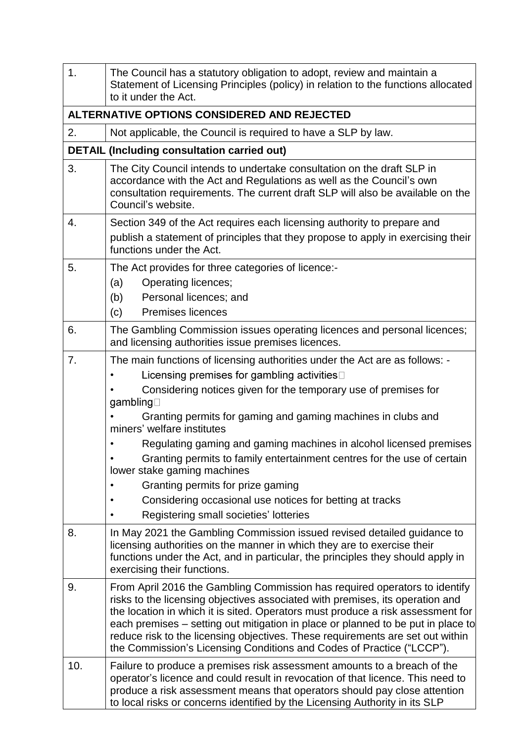| 1.  | The Council has a statutory obligation to adopt, review and maintain a<br>Statement of Licensing Principles (policy) in relation to the functions allocated<br>to it under the Act.                                                                                                                                                                                                                                                                                                                                                                                                                                                |  |  |  |
|-----|------------------------------------------------------------------------------------------------------------------------------------------------------------------------------------------------------------------------------------------------------------------------------------------------------------------------------------------------------------------------------------------------------------------------------------------------------------------------------------------------------------------------------------------------------------------------------------------------------------------------------------|--|--|--|
|     | ALTERNATIVE OPTIONS CONSIDERED AND REJECTED                                                                                                                                                                                                                                                                                                                                                                                                                                                                                                                                                                                        |  |  |  |
| 2.  | Not applicable, the Council is required to have a SLP by law.                                                                                                                                                                                                                                                                                                                                                                                                                                                                                                                                                                      |  |  |  |
|     | <b>DETAIL (Including consultation carried out)</b>                                                                                                                                                                                                                                                                                                                                                                                                                                                                                                                                                                                 |  |  |  |
| 3.  | The City Council intends to undertake consultation on the draft SLP in<br>accordance with the Act and Regulations as well as the Council's own<br>consultation requirements. The current draft SLP will also be available on the<br>Council's website.                                                                                                                                                                                                                                                                                                                                                                             |  |  |  |
| 4.  | Section 349 of the Act requires each licensing authority to prepare and<br>publish a statement of principles that they propose to apply in exercising their<br>functions under the Act.                                                                                                                                                                                                                                                                                                                                                                                                                                            |  |  |  |
| 5.  | The Act provides for three categories of licence:-<br>Operating licences;<br>(a)<br>(b)<br>Personal licences; and<br><b>Premises licences</b><br>(c)                                                                                                                                                                                                                                                                                                                                                                                                                                                                               |  |  |  |
| 6.  | The Gambling Commission issues operating licences and personal licences;<br>and licensing authorities issue premises licences.                                                                                                                                                                                                                                                                                                                                                                                                                                                                                                     |  |  |  |
| 7.  | The main functions of licensing authorities under the Act are as follows: -<br>Licensing premises for gambling activities<br>Considering notices given for the temporary use of premises for<br>gambling□<br>Granting permits for gaming and gaming machines in clubs and<br>miners' welfare institutes<br>Regulating gaming and gaming machines in alcohol licensed premises<br>Granting permits to family entertainment centres for the use of certain<br>lower stake gaming machines<br>Granting permits for prize gaming<br>Considering occasional use notices for betting at tracks<br>Registering small societies' lotteries |  |  |  |
| 8.  | In May 2021 the Gambling Commission issued revised detailed guidance to<br>licensing authorities on the manner in which they are to exercise their<br>functions under the Act, and in particular, the principles they should apply in<br>exercising their functions.                                                                                                                                                                                                                                                                                                                                                               |  |  |  |
| 9.  | From April 2016 the Gambling Commission has required operators to identify<br>risks to the licensing objectives associated with premises, its operation and<br>the location in which it is sited. Operators must produce a risk assessment for<br>each premises – setting out mitigation in place or planned to be put in place to<br>reduce risk to the licensing objectives. These requirements are set out within<br>the Commission's Licensing Conditions and Codes of Practice ("LCCP").                                                                                                                                      |  |  |  |
| 10. | Failure to produce a premises risk assessment amounts to a breach of the<br>operator's licence and could result in revocation of that licence. This need to<br>produce a risk assessment means that operators should pay close attention<br>to local risks or concerns identified by the Licensing Authority in its SLP                                                                                                                                                                                                                                                                                                            |  |  |  |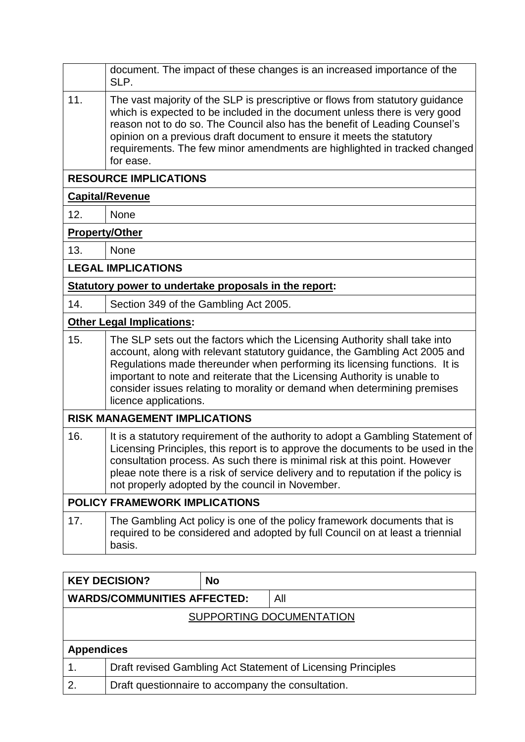|                                      | document. The impact of these changes is an increased importance of the<br>SLP.                                                                                                                                                                                                                                                                                                                                          |  |  |
|--------------------------------------|--------------------------------------------------------------------------------------------------------------------------------------------------------------------------------------------------------------------------------------------------------------------------------------------------------------------------------------------------------------------------------------------------------------------------|--|--|
| 11.                                  | The vast majority of the SLP is prescriptive or flows from statutory guidance<br>which is expected to be included in the document unless there is very good<br>reason not to do so. The Council also has the benefit of Leading Counsel's<br>opinion on a previous draft document to ensure it meets the statutory<br>requirements. The few minor amendments are highlighted in tracked changed<br>for ease.             |  |  |
|                                      | <b>RESOURCE IMPLICATIONS</b>                                                                                                                                                                                                                                                                                                                                                                                             |  |  |
|                                      | <b>Capital/Revenue</b>                                                                                                                                                                                                                                                                                                                                                                                                   |  |  |
| 12.                                  | None                                                                                                                                                                                                                                                                                                                                                                                                                     |  |  |
| <b>Property/Other</b>                |                                                                                                                                                                                                                                                                                                                                                                                                                          |  |  |
| 13.                                  | None                                                                                                                                                                                                                                                                                                                                                                                                                     |  |  |
|                                      | <b>LEGAL IMPLICATIONS</b>                                                                                                                                                                                                                                                                                                                                                                                                |  |  |
|                                      | Statutory power to undertake proposals in the report:                                                                                                                                                                                                                                                                                                                                                                    |  |  |
| 14.                                  | Section 349 of the Gambling Act 2005.                                                                                                                                                                                                                                                                                                                                                                                    |  |  |
|                                      | <b>Other Legal Implications:</b>                                                                                                                                                                                                                                                                                                                                                                                         |  |  |
| 15.                                  | The SLP sets out the factors which the Licensing Authority shall take into<br>account, along with relevant statutory guidance, the Gambling Act 2005 and<br>Regulations made thereunder when performing its licensing functions. It is<br>important to note and reiterate that the Licensing Authority is unable to<br>consider issues relating to morality or demand when determining premises<br>licence applications. |  |  |
|                                      | <b>RISK MANAGEMENT IMPLICATIONS</b>                                                                                                                                                                                                                                                                                                                                                                                      |  |  |
| 16.                                  | It is a statutory requirement of the authority to adopt a Gambling Statement of<br>Licensing Principles, this report is to approve the documents to be used in the<br>consultation process. As such there is minimal risk at this point. However<br>pleae note there is a risk of service delivery and to reputation if the policy is<br>not properly adopted by the council in November.                                |  |  |
| <b>POLICY FRAMEWORK IMPLICATIONS</b> |                                                                                                                                                                                                                                                                                                                                                                                                                          |  |  |
| 17.                                  | The Gambling Act policy is one of the policy framework documents that is<br>required to be considered and adopted by full Council on at least a triennial<br>basis.                                                                                                                                                                                                                                                      |  |  |

|                                    | <b>KEY DECISION?</b>                                         | <b>No</b> |     |  |
|------------------------------------|--------------------------------------------------------------|-----------|-----|--|
| <b>WARDS/COMMUNITIES AFFECTED:</b> |                                                              |           | All |  |
| SUPPORTING DOCUMENTATION           |                                                              |           |     |  |
|                                    |                                                              |           |     |  |
| <b>Appendices</b>                  |                                                              |           |     |  |
|                                    | Draft revised Gambling Act Statement of Licensing Principles |           |     |  |
| 2.                                 | Draft questionnaire to accompany the consultation.           |           |     |  |